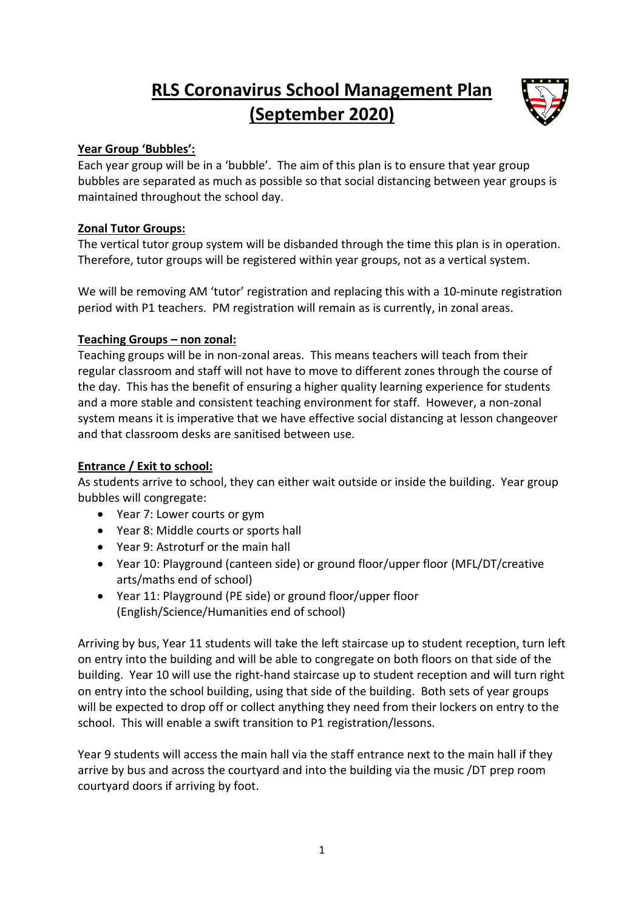# **RLS Coronavirus School Management Plan (September 2020)**



# **Year Group 'Bubbles':**

Each year group will be in a 'bubble'. The aim of this plan is to ensure that year group bubbles are separated as much as possible so that social distancing between year groups is maintained throughout the school day.

# **Zonal Tutor Groups:**

The vertical tutor group system will be disbanded through the time this plan is in operation. Therefore, tutor groups will be registered within year groups, not as a vertical system.

We will be removing AM 'tutor' registration and replacing this with a 10-minute registration period with P1 teachers. PM registration will remain as is currently, in zonal areas.

# **Teaching Groups – non zonal:**

Teaching groups will be in non-zonal areas. This means teachers will teach from their regular classroom and staff will not have to move to different zones through the course of the day. This has the benefit of ensuring a higher quality learning experience for students and a more stable and consistent teaching environment for staff. However, a non-zonal system means it is imperative that we have effective social distancing at lesson changeover and that classroom desks are sanitised between use.

## **Entrance / Exit to school:**

As students arrive to school, they can either wait outside or inside the building. Year group bubbles will congregate:

- Year 7: Lower courts or gym
- Year 8: Middle courts or sports hall
- Year 9: Astroturf or the main hall
- Year 10: Playground (canteen side) or ground floor/upper floor (MFL/DT/creative arts/maths end of school)
- Year 11: Playground (PE side) or ground floor/upper floor (English/Science/Humanities end of school)

Arriving by bus, Year 11 students will take the left staircase up to student reception, turn left on entry into the building and will be able to congregate on both floors on that side of the building. Year 10 will use the right-hand staircase up to student reception and will turn right on entry into the school building, using that side of the building. Both sets of year groups will be expected to drop off or collect anything they need from their lockers on entry to the school. This will enable a swift transition to P1 registration/lessons.

Year 9 students will access the main hall via the staff entrance next to the main hall if they arrive by bus and across the courtyard and into the building via the music /DT prep room courtyard doors if arriving by foot.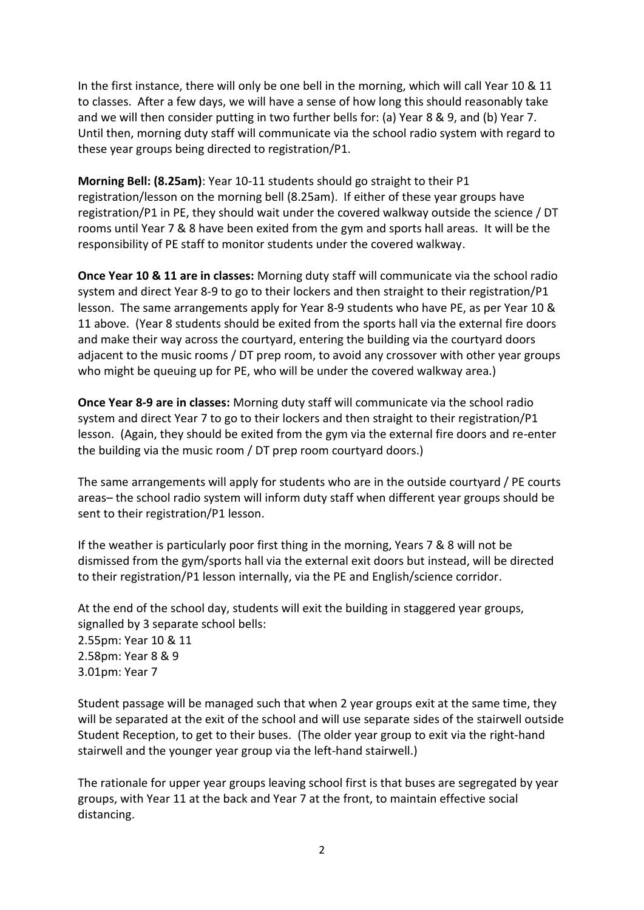In the first instance, there will only be one bell in the morning, which will call Year 10 & 11 to classes. After a few days, we will have a sense of how long this should reasonably take and we will then consider putting in two further bells for: (a) Year 8 & 9, and (b) Year 7. Until then, morning duty staff will communicate via the school radio system with regard to these year groups being directed to registration/P1.

**Morning Bell: (8.25am)**: Year 10-11 students should go straight to their P1 registration/lesson on the morning bell (8.25am). If either of these year groups have registration/P1 in PE, they should wait under the covered walkway outside the science / DT rooms until Year 7 & 8 have been exited from the gym and sports hall areas. It will be the responsibility of PE staff to monitor students under the covered walkway.

**Once Year 10 & 11 are in classes:** Morning duty staff will communicate via the school radio system and direct Year 8-9 to go to their lockers and then straight to their registration/P1 lesson. The same arrangements apply for Year 8-9 students who have PE, as per Year 10 & 11 above. (Year 8 students should be exited from the sports hall via the external fire doors and make their way across the courtyard, entering the building via the courtyard doors adjacent to the music rooms / DT prep room, to avoid any crossover with other year groups who might be queuing up for PE, who will be under the covered walkway area.)

**Once Year 8-9 are in classes:** Morning duty staff will communicate via the school radio system and direct Year 7 to go to their lockers and then straight to their registration/P1 lesson. (Again, they should be exited from the gym via the external fire doors and re-enter the building via the music room / DT prep room courtyard doors.)

The same arrangements will apply for students who are in the outside courtyard / PE courts areas– the school radio system will inform duty staff when different year groups should be sent to their registration/P1 lesson.

If the weather is particularly poor first thing in the morning, Years 7 & 8 will not be dismissed from the gym/sports hall via the external exit doors but instead, will be directed to their registration/P1 lesson internally, via the PE and English/science corridor.

At the end of the school day, students will exit the building in staggered year groups, signalled by 3 separate school bells: 2.55pm: Year 10 & 11 2.58pm: Year 8 & 9 3.01pm: Year 7

Student passage will be managed such that when 2 year groups exit at the same time, they will be separated at the exit of the school and will use separate sides of the stairwell outside Student Reception, to get to their buses. (The older year group to exit via the right-hand stairwell and the younger year group via the left-hand stairwell.)

The rationale for upper year groups leaving school first is that buses are segregated by year groups, with Year 11 at the back and Year 7 at the front, to maintain effective social distancing.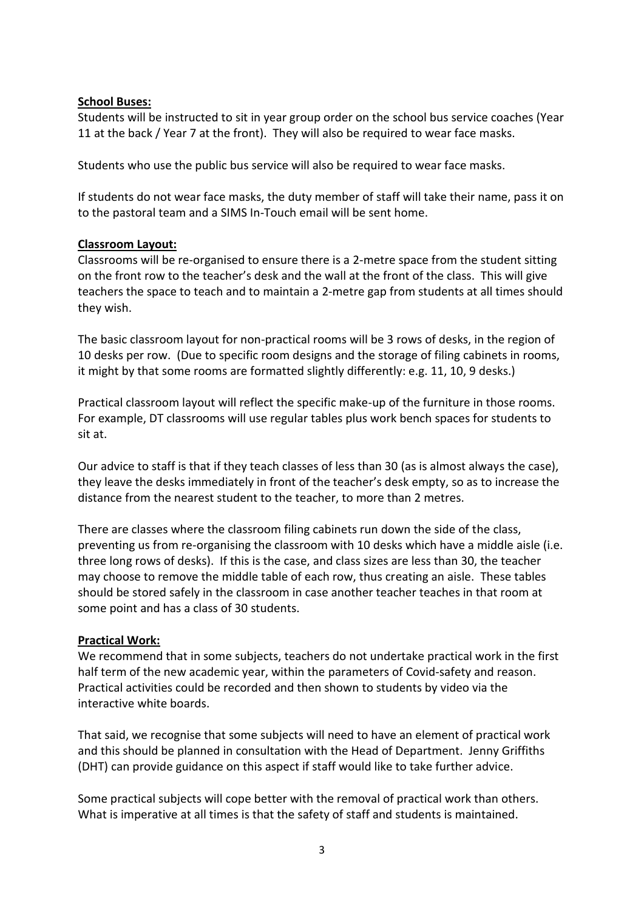#### **School Buses:**

Students will be instructed to sit in year group order on the school bus service coaches (Year 11 at the back / Year 7 at the front). They will also be required to wear face masks.

Students who use the public bus service will also be required to wear face masks.

If students do not wear face masks, the duty member of staff will take their name, pass it on to the pastoral team and a SIMS In-Touch email will be sent home.

#### **Classroom Layout:**

Classrooms will be re-organised to ensure there is a 2-metre space from the student sitting on the front row to the teacher's desk and the wall at the front of the class. This will give teachers the space to teach and to maintain a 2-metre gap from students at all times should they wish.

The basic classroom layout for non-practical rooms will be 3 rows of desks, in the region of 10 desks per row. (Due to specific room designs and the storage of filing cabinets in rooms, it might by that some rooms are formatted slightly differently: e.g. 11, 10, 9 desks.)

Practical classroom layout will reflect the specific make-up of the furniture in those rooms. For example, DT classrooms will use regular tables plus work bench spaces for students to sit at.

Our advice to staff is that if they teach classes of less than 30 (as is almost always the case), they leave the desks immediately in front of the teacher's desk empty, so as to increase the distance from the nearest student to the teacher, to more than 2 metres.

There are classes where the classroom filing cabinets run down the side of the class, preventing us from re-organising the classroom with 10 desks which have a middle aisle (i.e. three long rows of desks). If this is the case, and class sizes are less than 30, the teacher may choose to remove the middle table of each row, thus creating an aisle. These tables should be stored safely in the classroom in case another teacher teaches in that room at some point and has a class of 30 students.

## **Practical Work:**

We recommend that in some subjects, teachers do not undertake practical work in the first half term of the new academic year, within the parameters of Covid-safety and reason. Practical activities could be recorded and then shown to students by video via the interactive white boards.

That said, we recognise that some subjects will need to have an element of practical work and this should be planned in consultation with the Head of Department. Jenny Griffiths (DHT) can provide guidance on this aspect if staff would like to take further advice.

Some practical subjects will cope better with the removal of practical work than others. What is imperative at all times is that the safety of staff and students is maintained.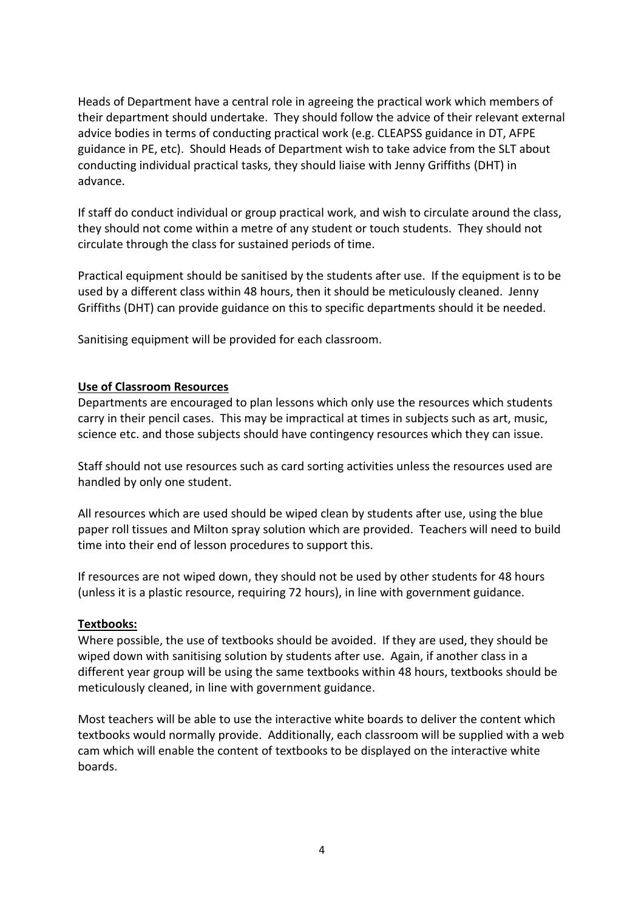Heads of Department have a central role in agreeing the practical work which members of their department should undertake. They should follow the advice of their relevant external advice bodies in terms of conducting practical work (e.g. CLEAPSS guidance in DT, AFPE guidance in PE, etc). Should Heads of Department wish to take advice from the SLT about conducting individual practical tasks, they should liaise with Jenny Griffiths (DHT) in advance.

If staff do conduct individual or group practical work, and wish to circulate around the class, they should not come within a metre of any student or touch students. They should not circulate through the class for sustained periods of time.

Practical equipment should be sanitised by the students after use. If the equipment is to be used by a different class within 48 hours, then it should be meticulously cleaned. Jenny Griffiths (DHT) can provide guidance on this to specific departments should it be needed.

Sanitising equipment will be provided for each classroom.

#### **Use of Classroom Resources**

Departments are encouraged to plan lessons which only use the resources which students carry in their pencil cases. This may be impractical at times in subjects such as art, music, science etc. and those subjects should have contingency resources which they can issue.

Staff should not use resources such as card sorting activities unless the resources used are handled by only one student.

All resources which are used should be wiped clean by students after use, using the blue paper roll tissues and Milton spray solution which are provided. Teachers will need to build time into their end of lesson procedures to support this.

If resources are not wiped down, they should not be used by other students for 48 hours (unless it is a plastic resource, requiring 72 hours), in line with government guidance.

#### **Textbooks:**

Where possible, the use of textbooks should be avoided. If they are used, they should be wiped down with sanitising solution by students after use. Again, if another class in a different year group will be using the same textbooks within 48 hours, textbooks should be meticulously cleaned, in line with government guidance.

Most teachers will be able to use the interactive white boards to deliver the content which textbooks would normally provide. Additionally, each classroom will be supplied with a web cam which will enable the content of textbooks to be displayed on the interactive white boards.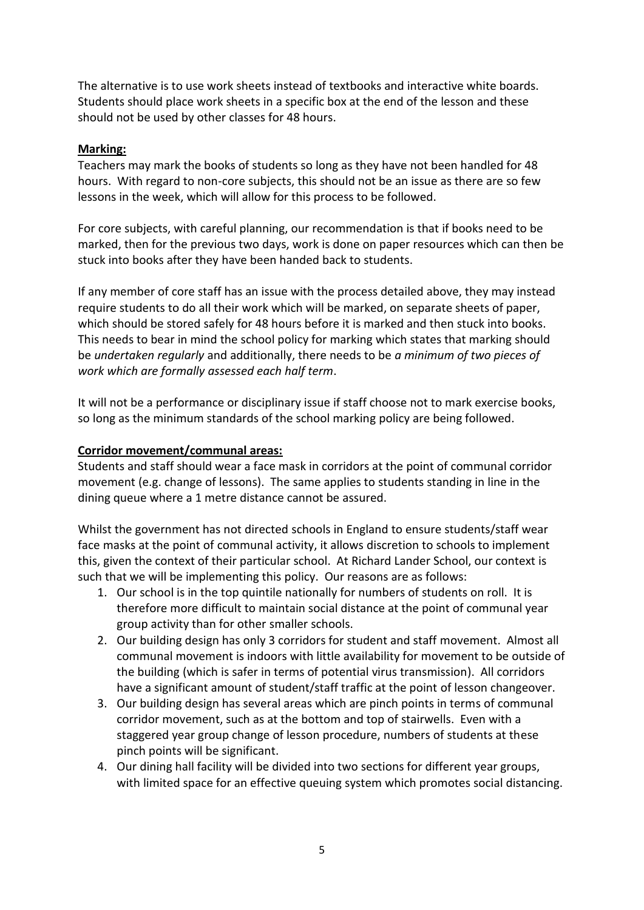The alternative is to use work sheets instead of textbooks and interactive white boards. Students should place work sheets in a specific box at the end of the lesson and these should not be used by other classes for 48 hours.

#### **Marking:**

Teachers may mark the books of students so long as they have not been handled for 48 hours. With regard to non-core subjects, this should not be an issue as there are so few lessons in the week, which will allow for this process to be followed.

For core subjects, with careful planning, our recommendation is that if books need to be marked, then for the previous two days, work is done on paper resources which can then be stuck into books after they have been handed back to students.

If any member of core staff has an issue with the process detailed above, they may instead require students to do all their work which will be marked, on separate sheets of paper, which should be stored safely for 48 hours before it is marked and then stuck into books. This needs to bear in mind the school policy for marking which states that marking should be *undertaken regularly* and additionally, there needs to be *a minimum of two pieces of work which are formally assessed each half term*.

It will not be a performance or disciplinary issue if staff choose not to mark exercise books, so long as the minimum standards of the school marking policy are being followed.

#### **Corridor movement/communal areas:**

Students and staff should wear a face mask in corridors at the point of communal corridor movement (e.g. change of lessons). The same applies to students standing in line in the dining queue where a 1 metre distance cannot be assured.

Whilst the government has not directed schools in England to ensure students/staff wear face masks at the point of communal activity, it allows discretion to schools to implement this, given the context of their particular school. At Richard Lander School, our context is such that we will be implementing this policy. Our reasons are as follows:

- 1. Our school is in the top quintile nationally for numbers of students on roll. It is therefore more difficult to maintain social distance at the point of communal year group activity than for other smaller schools.
- 2. Our building design has only 3 corridors for student and staff movement. Almost all communal movement is indoors with little availability for movement to be outside of the building (which is safer in terms of potential virus transmission). All corridors have a significant amount of student/staff traffic at the point of lesson changeover.
- 3. Our building design has several areas which are pinch points in terms of communal corridor movement, such as at the bottom and top of stairwells. Even with a staggered year group change of lesson procedure, numbers of students at these pinch points will be significant.
- 4. Our dining hall facility will be divided into two sections for different year groups, with limited space for an effective queuing system which promotes social distancing.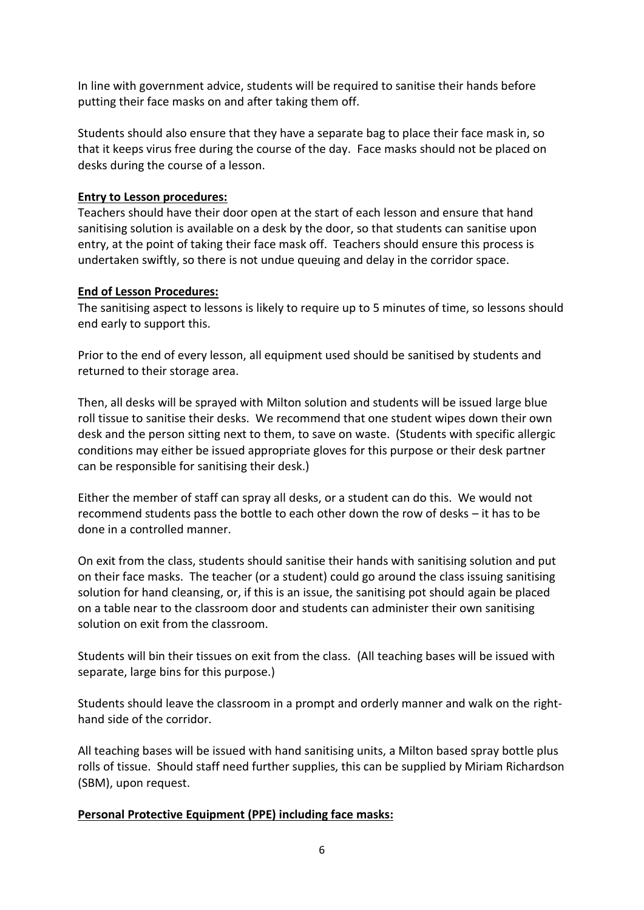In line with government advice, students will be required to sanitise their hands before putting their face masks on and after taking them off.

Students should also ensure that they have a separate bag to place their face mask in, so that it keeps virus free during the course of the day. Face masks should not be placed on desks during the course of a lesson.

#### **Entry to Lesson procedures:**

Teachers should have their door open at the start of each lesson and ensure that hand sanitising solution is available on a desk by the door, so that students can sanitise upon entry, at the point of taking their face mask off. Teachers should ensure this process is undertaken swiftly, so there is not undue queuing and delay in the corridor space.

#### **End of Lesson Procedures:**

The sanitising aspect to lessons is likely to require up to 5 minutes of time, so lessons should end early to support this.

Prior to the end of every lesson, all equipment used should be sanitised by students and returned to their storage area.

Then, all desks will be sprayed with Milton solution and students will be issued large blue roll tissue to sanitise their desks. We recommend that one student wipes down their own desk and the person sitting next to them, to save on waste. (Students with specific allergic conditions may either be issued appropriate gloves for this purpose or their desk partner can be responsible for sanitising their desk.)

Either the member of staff can spray all desks, or a student can do this. We would not recommend students pass the bottle to each other down the row of desks – it has to be done in a controlled manner.

On exit from the class, students should sanitise their hands with sanitising solution and put on their face masks. The teacher (or a student) could go around the class issuing sanitising solution for hand cleansing, or, if this is an issue, the sanitising pot should again be placed on a table near to the classroom door and students can administer their own sanitising solution on exit from the classroom.

Students will bin their tissues on exit from the class. (All teaching bases will be issued with separate, large bins for this purpose.)

Students should leave the classroom in a prompt and orderly manner and walk on the righthand side of the corridor.

All teaching bases will be issued with hand sanitising units, a Milton based spray bottle plus rolls of tissue. Should staff need further supplies, this can be supplied by Miriam Richardson (SBM), upon request.

## **Personal Protective Equipment (PPE) including face masks:**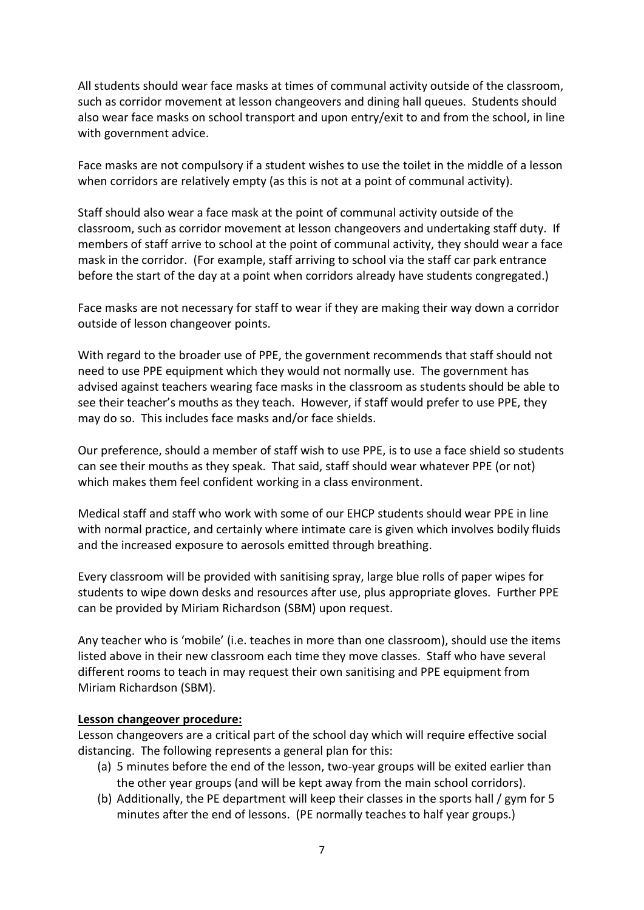All students should wear face masks at times of communal activity outside of the classroom, such as corridor movement at lesson changeovers and dining hall queues. Students should also wear face masks on school transport and upon entry/exit to and from the school, in line with government advice.

Face masks are not compulsory if a student wishes to use the toilet in the middle of a lesson when corridors are relatively empty (as this is not at a point of communal activity).

Staff should also wear a face mask at the point of communal activity outside of the classroom, such as corridor movement at lesson changeovers and undertaking staff duty. If members of staff arrive to school at the point of communal activity, they should wear a face mask in the corridor. (For example, staff arriving to school via the staff car park entrance before the start of the day at a point when corridors already have students congregated.)

Face masks are not necessary for staff to wear if they are making their way down a corridor outside of lesson changeover points.

With regard to the broader use of PPE, the government recommends that staff should not need to use PPE equipment which they would not normally use. The government has advised against teachers wearing face masks in the classroom as students should be able to see their teacher's mouths as they teach. However, if staff would prefer to use PPE, they may do so. This includes face masks and/or face shields.

Our preference, should a member of staff wish to use PPE, is to use a face shield so students can see their mouths as they speak. That said, staff should wear whatever PPE (or not) which makes them feel confident working in a class environment.

Medical staff and staff who work with some of our EHCP students should wear PPE in line with normal practice, and certainly where intimate care is given which involves bodily fluids and the increased exposure to aerosols emitted through breathing.

Every classroom will be provided with sanitising spray, large blue rolls of paper wipes for students to wipe down desks and resources after use, plus appropriate gloves. Further PPE can be provided by Miriam Richardson (SBM) upon request.

Any teacher who is 'mobile' (i.e. teaches in more than one classroom), should use the items listed above in their new classroom each time they move classes. Staff who have several different rooms to teach in may request their own sanitising and PPE equipment from Miriam Richardson (SBM).

#### **Lesson changeover procedure:**

Lesson changeovers are a critical part of the school day which will require effective social distancing. The following represents a general plan for this:

- (a) 5 minutes before the end of the lesson, two-year groups will be exited earlier than the other year groups (and will be kept away from the main school corridors).
- (b) Additionally, the PE department will keep their classes in the sports hall / gym for 5 minutes after the end of lessons. (PE normally teaches to half year groups.)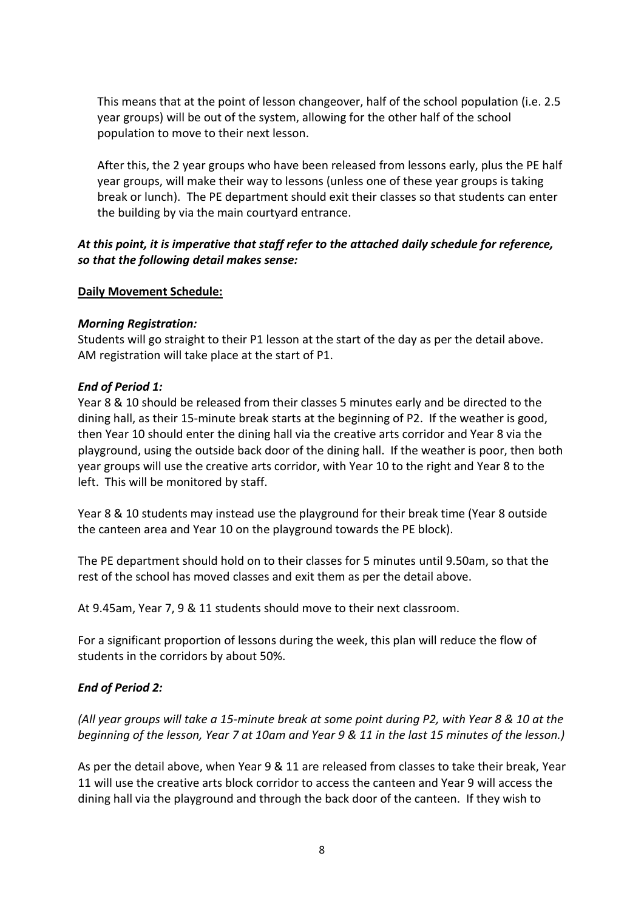This means that at the point of lesson changeover, half of the school population (i.e. 2.5 year groups) will be out of the system, allowing for the other half of the school population to move to their next lesson.

After this, the 2 year groups who have been released from lessons early, plus the PE half year groups, will make their way to lessons (unless one of these year groups is taking break or lunch). The PE department should exit their classes so that students can enter the building by via the main courtyard entrance.

## *At this point, it is imperative that staff refer to the attached daily schedule for reference, so that the following detail makes sense:*

## **Daily Movement Schedule:**

#### *Morning Registration:*

Students will go straight to their P1 lesson at the start of the day as per the detail above. AM registration will take place at the start of P1.

#### *End of Period 1:*

Year 8 & 10 should be released from their classes 5 minutes early and be directed to the dining hall, as their 15-minute break starts at the beginning of P2. If the weather is good, then Year 10 should enter the dining hall via the creative arts corridor and Year 8 via the playground, using the outside back door of the dining hall. If the weather is poor, then both year groups will use the creative arts corridor, with Year 10 to the right and Year 8 to the left. This will be monitored by staff.

Year 8 & 10 students may instead use the playground for their break time (Year 8 outside the canteen area and Year 10 on the playground towards the PE block).

The PE department should hold on to their classes for 5 minutes until 9.50am, so that the rest of the school has moved classes and exit them as per the detail above.

At 9.45am, Year 7, 9 & 11 students should move to their next classroom.

For a significant proportion of lessons during the week, this plan will reduce the flow of students in the corridors by about 50%.

## *End of Period 2:*

*(All year groups will take a 15-minute break at some point during P2, with Year 8 & 10 at the beginning of the lesson, Year 7 at 10am and Year 9 & 11 in the last 15 minutes of the lesson.)*

As per the detail above, when Year 9 & 11 are released from classes to take their break, Year 11 will use the creative arts block corridor to access the canteen and Year 9 will access the dining hall via the playground and through the back door of the canteen. If they wish to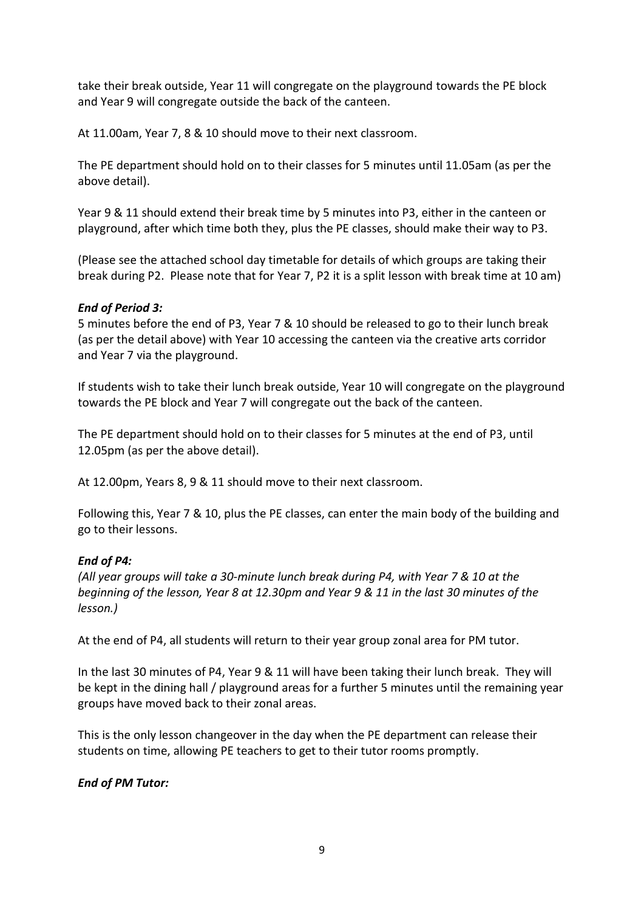take their break outside, Year 11 will congregate on the playground towards the PE block and Year 9 will congregate outside the back of the canteen.

At 11.00am, Year 7, 8 & 10 should move to their next classroom.

The PE department should hold on to their classes for 5 minutes until 11.05am (as per the above detail).

Year 9 & 11 should extend their break time by 5 minutes into P3, either in the canteen or playground, after which time both they, plus the PE classes, should make their way to P3.

(Please see the attached school day timetable for details of which groups are taking their break during P2. Please note that for Year 7, P2 it is a split lesson with break time at 10 am)

## *End of Period 3:*

5 minutes before the end of P3, Year 7 & 10 should be released to go to their lunch break (as per the detail above) with Year 10 accessing the canteen via the creative arts corridor and Year 7 via the playground.

If students wish to take their lunch break outside, Year 10 will congregate on the playground towards the PE block and Year 7 will congregate out the back of the canteen.

The PE department should hold on to their classes for 5 minutes at the end of P3, until 12.05pm (as per the above detail).

At 12.00pm, Years 8, 9 & 11 should move to their next classroom.

Following this, Year 7 & 10, plus the PE classes, can enter the main body of the building and go to their lessons.

## *End of P4:*

*(All year groups will take a 30-minute lunch break during P4, with Year 7 & 10 at the beginning of the lesson, Year 8 at 12.30pm and Year 9 & 11 in the last 30 minutes of the lesson.)*

At the end of P4, all students will return to their year group zonal area for PM tutor.

In the last 30 minutes of P4, Year 9 & 11 will have been taking their lunch break. They will be kept in the dining hall / playground areas for a further 5 minutes until the remaining year groups have moved back to their zonal areas.

This is the only lesson changeover in the day when the PE department can release their students on time, allowing PE teachers to get to their tutor rooms promptly.

## *End of PM Tutor:*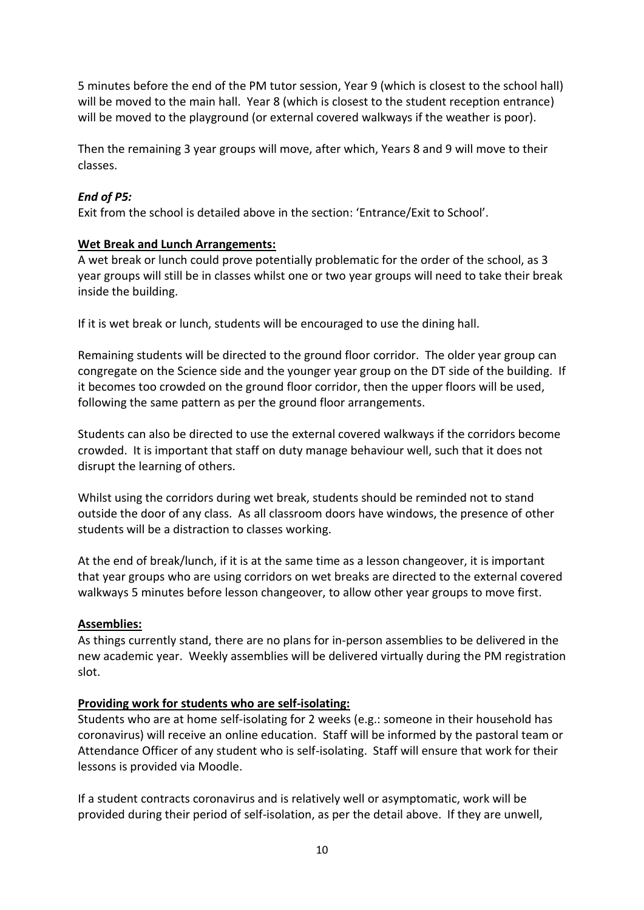5 minutes before the end of the PM tutor session, Year 9 (which is closest to the school hall) will be moved to the main hall. Year 8 (which is closest to the student reception entrance) will be moved to the playground (or external covered walkways if the weather is poor).

Then the remaining 3 year groups will move, after which, Years 8 and 9 will move to their classes.

# *End of P5:*

Exit from the school is detailed above in the section: 'Entrance/Exit to School'.

## **Wet Break and Lunch Arrangements:**

A wet break or lunch could prove potentially problematic for the order of the school, as 3 year groups will still be in classes whilst one or two year groups will need to take their break inside the building.

If it is wet break or lunch, students will be encouraged to use the dining hall.

Remaining students will be directed to the ground floor corridor. The older year group can congregate on the Science side and the younger year group on the DT side of the building. If it becomes too crowded on the ground floor corridor, then the upper floors will be used, following the same pattern as per the ground floor arrangements.

Students can also be directed to use the external covered walkways if the corridors become crowded. It is important that staff on duty manage behaviour well, such that it does not disrupt the learning of others.

Whilst using the corridors during wet break, students should be reminded not to stand outside the door of any class. As all classroom doors have windows, the presence of other students will be a distraction to classes working.

At the end of break/lunch, if it is at the same time as a lesson changeover, it is important that year groups who are using corridors on wet breaks are directed to the external covered walkways 5 minutes before lesson changeover, to allow other year groups to move first.

# **Assemblies:**

As things currently stand, there are no plans for in-person assemblies to be delivered in the new academic year. Weekly assemblies will be delivered virtually during the PM registration slot.

## **Providing work for students who are self-isolating:**

Students who are at home self-isolating for 2 weeks (e.g.: someone in their household has coronavirus) will receive an online education. Staff will be informed by the pastoral team or Attendance Officer of any student who is self-isolating. Staff will ensure that work for their lessons is provided via Moodle.

If a student contracts coronavirus and is relatively well or asymptomatic, work will be provided during their period of self-isolation, as per the detail above. If they are unwell,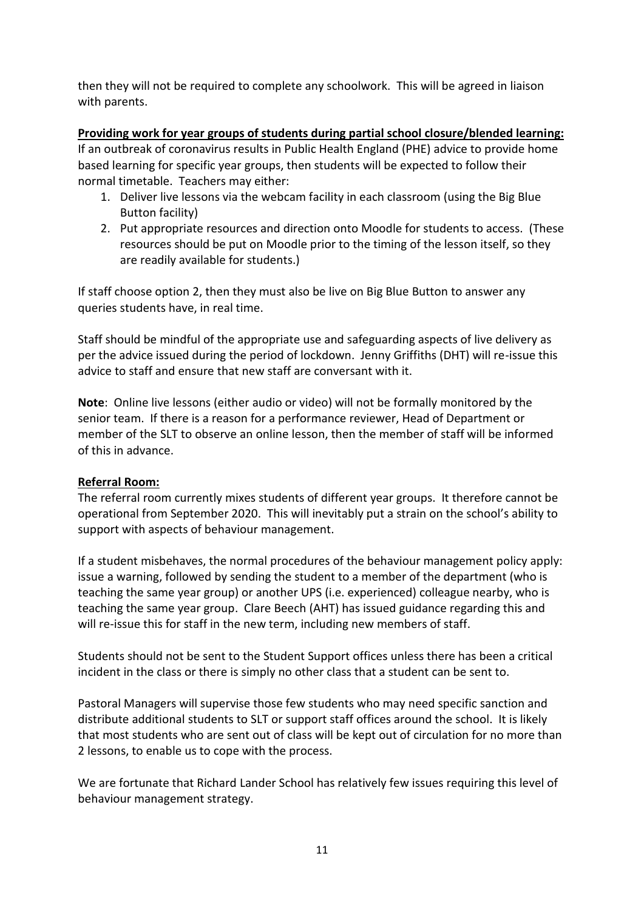then they will not be required to complete any schoolwork. This will be agreed in liaison with parents.

**Providing work for year groups of students during partial school closure/blended learning:** If an outbreak of coronavirus results in Public Health England (PHE) advice to provide home based learning for specific year groups, then students will be expected to follow their normal timetable. Teachers may either:

- 1. Deliver live lessons via the webcam facility in each classroom (using the Big Blue Button facility)
- 2. Put appropriate resources and direction onto Moodle for students to access. (These resources should be put on Moodle prior to the timing of the lesson itself, so they are readily available for students.)

If staff choose option 2, then they must also be live on Big Blue Button to answer any queries students have, in real time.

Staff should be mindful of the appropriate use and safeguarding aspects of live delivery as per the advice issued during the period of lockdown. Jenny Griffiths (DHT) will re-issue this advice to staff and ensure that new staff are conversant with it.

**Note**: Online live lessons (either audio or video) will not be formally monitored by the senior team. If there is a reason for a performance reviewer, Head of Department or member of the SLT to observe an online lesson, then the member of staff will be informed of this in advance.

## **Referral Room:**

The referral room currently mixes students of different year groups. It therefore cannot be operational from September 2020. This will inevitably put a strain on the school's ability to support with aspects of behaviour management.

If a student misbehaves, the normal procedures of the behaviour management policy apply: issue a warning, followed by sending the student to a member of the department (who is teaching the same year group) or another UPS (i.e. experienced) colleague nearby, who is teaching the same year group. Clare Beech (AHT) has issued guidance regarding this and will re-issue this for staff in the new term, including new members of staff.

Students should not be sent to the Student Support offices unless there has been a critical incident in the class or there is simply no other class that a student can be sent to.

Pastoral Managers will supervise those few students who may need specific sanction and distribute additional students to SLT or support staff offices around the school. It is likely that most students who are sent out of class will be kept out of circulation for no more than 2 lessons, to enable us to cope with the process.

We are fortunate that Richard Lander School has relatively few issues requiring this level of behaviour management strategy.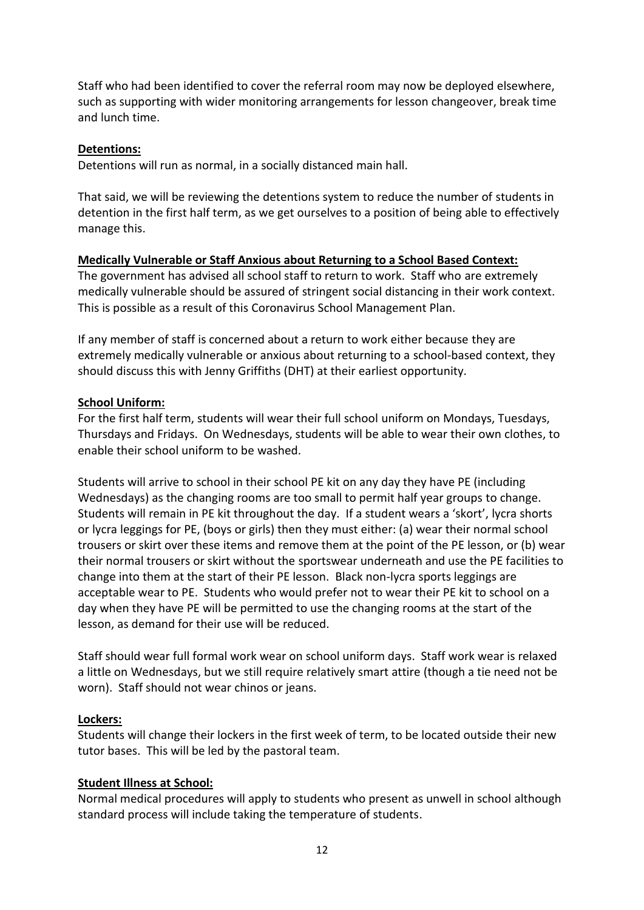Staff who had been identified to cover the referral room may now be deployed elsewhere, such as supporting with wider monitoring arrangements for lesson changeover, break time and lunch time.

#### **Detentions:**

Detentions will run as normal, in a socially distanced main hall.

That said, we will be reviewing the detentions system to reduce the number of students in detention in the first half term, as we get ourselves to a position of being able to effectively manage this.

## **Medically Vulnerable or Staff Anxious about Returning to a School Based Context:**

The government has advised all school staff to return to work. Staff who are extremely medically vulnerable should be assured of stringent social distancing in their work context. This is possible as a result of this Coronavirus School Management Plan.

If any member of staff is concerned about a return to work either because they are extremely medically vulnerable or anxious about returning to a school-based context, they should discuss this with Jenny Griffiths (DHT) at their earliest opportunity.

#### **School Uniform:**

For the first half term, students will wear their full school uniform on Mondays, Tuesdays, Thursdays and Fridays. On Wednesdays, students will be able to wear their own clothes, to enable their school uniform to be washed.

Students will arrive to school in their school PE kit on any day they have PE (including Wednesdays) as the changing rooms are too small to permit half year groups to change. Students will remain in PE kit throughout the day. If a student wears a 'skort', lycra shorts or lycra leggings for PE, (boys or girls) then they must either: (a) wear their normal school trousers or skirt over these items and remove them at the point of the PE lesson, or (b) wear their normal trousers or skirt without the sportswear underneath and use the PE facilities to change into them at the start of their PE lesson. Black non-lycra sports leggings are acceptable wear to PE. Students who would prefer not to wear their PE kit to school on a day when they have PE will be permitted to use the changing rooms at the start of the lesson, as demand for their use will be reduced.

Staff should wear full formal work wear on school uniform days. Staff work wear is relaxed a little on Wednesdays, but we still require relatively smart attire (though a tie need not be worn). Staff should not wear chinos or jeans.

## **Lockers:**

Students will change their lockers in the first week of term, to be located outside their new tutor bases. This will be led by the pastoral team.

#### **Student Illness at School:**

Normal medical procedures will apply to students who present as unwell in school although standard process will include taking the temperature of students.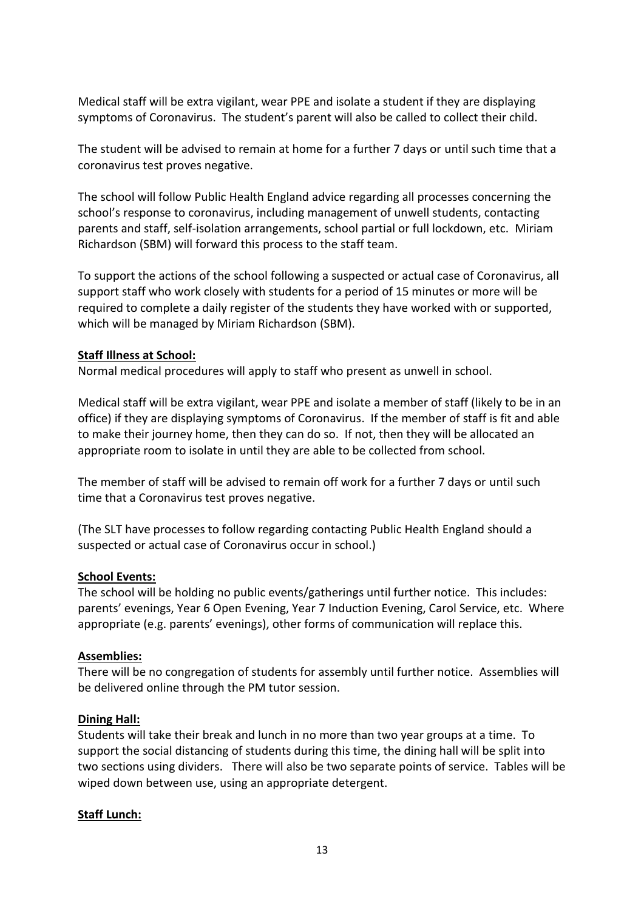Medical staff will be extra vigilant, wear PPE and isolate a student if they are displaying symptoms of Coronavirus. The student's parent will also be called to collect their child.

The student will be advised to remain at home for a further 7 days or until such time that a coronavirus test proves negative.

The school will follow Public Health England advice regarding all processes concerning the school's response to coronavirus, including management of unwell students, contacting parents and staff, self-isolation arrangements, school partial or full lockdown, etc. Miriam Richardson (SBM) will forward this process to the staff team.

To support the actions of the school following a suspected or actual case of Coronavirus, all support staff who work closely with students for a period of 15 minutes or more will be required to complete a daily register of the students they have worked with or supported, which will be managed by Miriam Richardson (SBM).

#### **Staff Illness at School:**

Normal medical procedures will apply to staff who present as unwell in school.

Medical staff will be extra vigilant, wear PPE and isolate a member of staff (likely to be in an office) if they are displaying symptoms of Coronavirus. If the member of staff is fit and able to make their journey home, then they can do so. If not, then they will be allocated an appropriate room to isolate in until they are able to be collected from school.

The member of staff will be advised to remain off work for a further 7 days or until such time that a Coronavirus test proves negative.

(The SLT have processes to follow regarding contacting Public Health England should a suspected or actual case of Coronavirus occur in school.)

#### **School Events:**

The school will be holding no public events/gatherings until further notice. This includes: parents' evenings, Year 6 Open Evening, Year 7 Induction Evening, Carol Service, etc. Where appropriate (e.g. parents' evenings), other forms of communication will replace this.

#### **Assemblies:**

There will be no congregation of students for assembly until further notice. Assemblies will be delivered online through the PM tutor session.

#### **Dining Hall:**

Students will take their break and lunch in no more than two year groups at a time. To support the social distancing of students during this time, the dining hall will be split into two sections using dividers. There will also be two separate points of service. Tables will be wiped down between use, using an appropriate detergent.

## **Staff Lunch:**